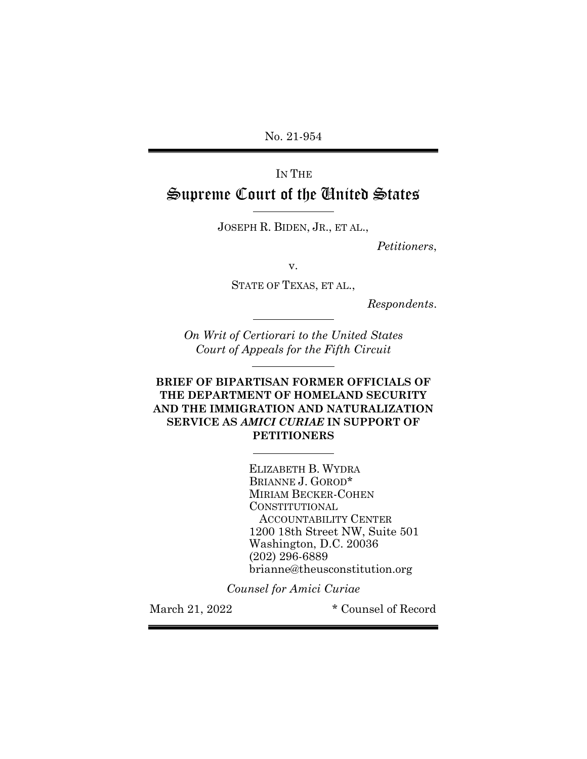No. 21-954

# IN THE Supreme Court of the United States

JOSEPH R. BIDEN, JR., ET AL.,

l

l

l

l

*Petitioners*,

v.

STATE OF TEXAS, ET AL.,

*Respondents*.

*On Writ of Certiorari to the United States Court of Appeals for the Fifth Circuit*

## **BRIEF OF BIPARTISAN FORMER OFFICIALS OF THE DEPARTMENT OF HOMELAND SECURITY AND THE IMMIGRATION AND NATURALIZATION SERVICE AS** *AMICI CURIAE* **IN SUPPORT OF PETITIONERS**

ELIZABETH B. WYDRA BRIANNE J. GOROD\* MIRIAM BECKER-COHEN CONSTITUTIONAL ACCOUNTABILITY CENTER 1200 18th Street NW, Suite 501 Washington, D.C. 20036 (202) 296-6889 brianne@theusconstitution.org

*Counsel for Amici Curiae*

March 21, 2022  $\bullet$  Counsel of Record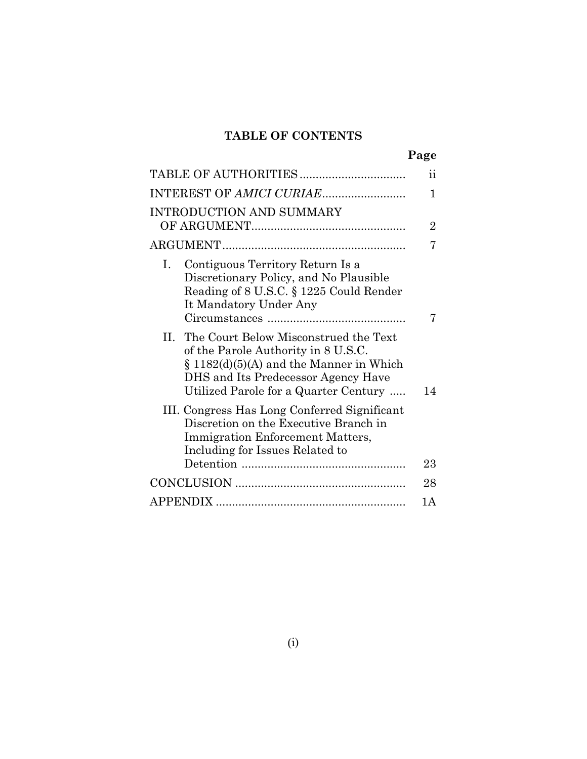## **TABLE OF CONTENTS**

|                                                                                                                                                                                                                | $\ddot{\textbf{i}}$ |
|----------------------------------------------------------------------------------------------------------------------------------------------------------------------------------------------------------------|---------------------|
|                                                                                                                                                                                                                |                     |
|                                                                                                                                                                                                                | 1                   |
| INTRODUCTION AND SUMMARY                                                                                                                                                                                       |                     |
|                                                                                                                                                                                                                | $\overline{2}$      |
|                                                                                                                                                                                                                | 7                   |
| Contiguous Territory Return Is a<br>L.<br>Discretionary Policy, and No Plausible<br>Reading of 8 U.S.C. § 1225 Could Render<br>It Mandatory Under Any                                                          | 7                   |
| II. The Court Below Misconstrued the Text<br>of the Parole Authority in 8 U.S.C.<br>$\S$ 1182(d)(5)(A) and the Manner in Which<br>DHS and Its Predecessor Agency Have<br>Utilized Parole for a Quarter Century | 14                  |
| III. Congress Has Long Conferred Significant<br>Discretion on the Executive Branch in<br><b>Immigration Enforcement Matters,</b><br>Including for Issues Related to                                            |                     |
|                                                                                                                                                                                                                | 23                  |
|                                                                                                                                                                                                                | 28                  |
|                                                                                                                                                                                                                | 1 A                 |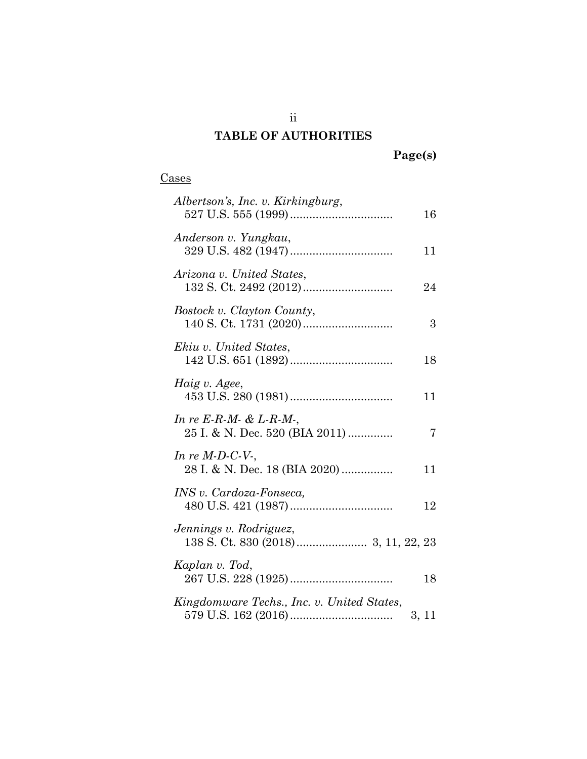## **TABLE OF AUTHORITIES**

# **Page(s)**

## Cases

| Albertson's, Inc. v. Kirkingburg,                           | 16    |
|-------------------------------------------------------------|-------|
| Anderson v. Yungkau,                                        | 11    |
| Arizona v. United States,                                   | 24    |
| Bostock v. Clayton County,                                  | 3     |
| Ekiu v. United States,                                      | 18    |
| Haig v. Agee,                                               | 11    |
| In re E-R-M- $& L$ -R-M-,<br>25 I. & N. Dec. 520 (BIA 2011) | 7     |
| In re $M$ -D-C-V-,<br>28 I. & N. Dec. 18 (BIA 2020)         | 11    |
| INS v. Cardoza-Fonseca,                                     | 12    |
| Jennings v. Rodriguez,                                      |       |
| Kaplan v. Tod,                                              | 18    |
| Kingdomware Techs., Inc. v. United States,                  | 3, 11 |

ii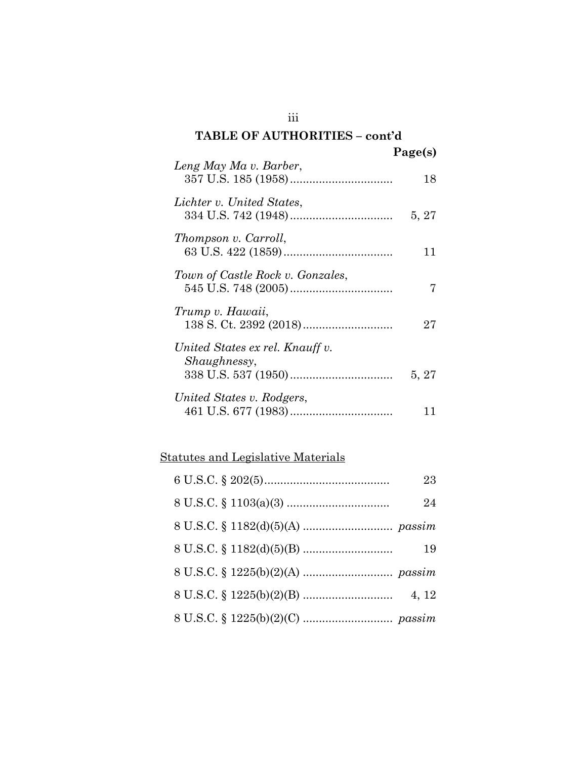### **TABLE OF AUTHORITIES – cont'd**  $\mathbf{p}_{\alpha\alpha\alpha}(s)$

|                                                 | $1$ age(s) |
|-------------------------------------------------|------------|
| Leng May Ma v. Barber,                          | 18         |
| Lichter v. United States,                       | 5, 27      |
| Thompson v. Carroll,                            | 11         |
| Town of Castle Rock v. Gonzales,                |            |
| Trump v. Hawaii,                                | 27         |
| United States ex rel. Knauff v.<br>Shaughnessy, | 5, 27      |
| United States v. Rodgers,                       | 11         |

# Statutes and Legislative Materials

| 23    |  |
|-------|--|
| 24    |  |
|       |  |
| 19    |  |
|       |  |
| 4, 12 |  |
|       |  |

iii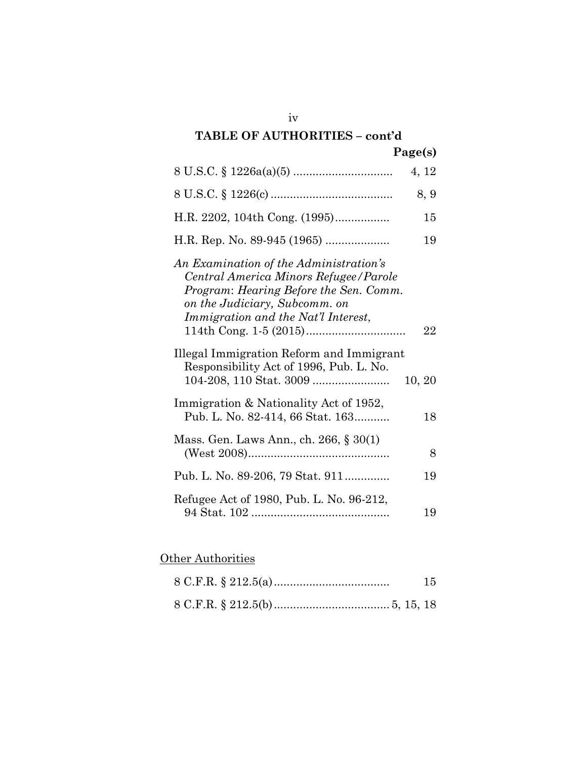|                                                                                                                                                                                                   | 4, 12  |
|---------------------------------------------------------------------------------------------------------------------------------------------------------------------------------------------------|--------|
|                                                                                                                                                                                                   | 8, 9   |
| H.R. 2202, 104th Cong. (1995)                                                                                                                                                                     | 15     |
| H.R. Rep. No. 89-945 (1965)                                                                                                                                                                       | 19     |
| An Examination of the Administration's<br>Central America Minors Refugee/Parole<br>Program: Hearing Before the Sen. Comm.<br>on the Judiciary, Subcomm. on<br>Immigration and the Nat'l Interest, | 22     |
| Illegal Immigration Reform and Immigrant<br>Responsibility Act of 1996, Pub. L. No.                                                                                                               | 10, 20 |
| Immigration & Nationality Act of 1952,<br>Pub. L. No. 82-414, 66 Stat. 163                                                                                                                        | 18     |
| Mass. Gen. Laws Ann., ch. 266, § 30(1)                                                                                                                                                            | 8      |
| Pub. L. No. 89-206, 79 Stat. 911                                                                                                                                                                  | 19     |
| Refugee Act of 1980, Pub. L. No. 96-212,                                                                                                                                                          | 19     |

## **Other Authorities**

| 15 |
|----|
|    |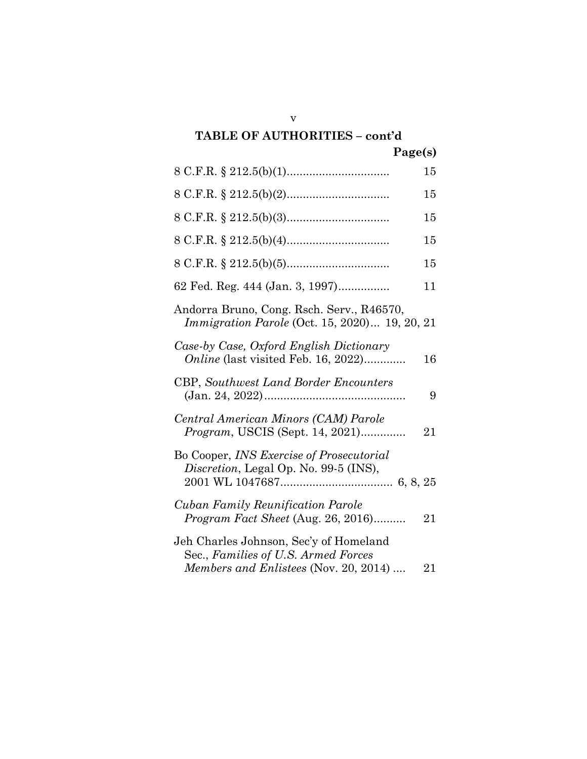|                                                                                                                        | 15 |
|------------------------------------------------------------------------------------------------------------------------|----|
|                                                                                                                        |    |
|                                                                                                                        | 15 |
|                                                                                                                        | 15 |
|                                                                                                                        | 15 |
|                                                                                                                        | 15 |
| 62 Fed. Reg. 444 (Jan. 3, 1997)                                                                                        | 11 |
| Andorra Bruno, Cong. Rsch. Serv., R46570,<br><i>Immigration Parole</i> (Oct. 15, 2020) 19, 20, 21                      |    |
| Case-by Case, Oxford English Dictionary<br><i>Online</i> (last visited Feb. 16, 2022)                                  | 16 |
| <b>CBP</b> , Southwest Land Border Encounters                                                                          | 9  |
| Central American Minors (CAM) Parole<br><i>Program</i> , USCIS (Sept. 14, 2021)                                        | 21 |
| Bo Cooper, <i>INS Exercise of Prosecutorial</i><br>Discretion, Legal Op. No. 99-5 (INS),                               |    |
| <b>Cuban Family Reunification Parole</b><br>Program Fact Sheet (Aug. 26, 2016)                                         | 21 |
| Jeh Charles Johnson, Sec'y of Homeland<br>Sec., Families of U.S. Armed Forces<br>Members and Enlistees (Nov. 20, 2014) | 21 |

v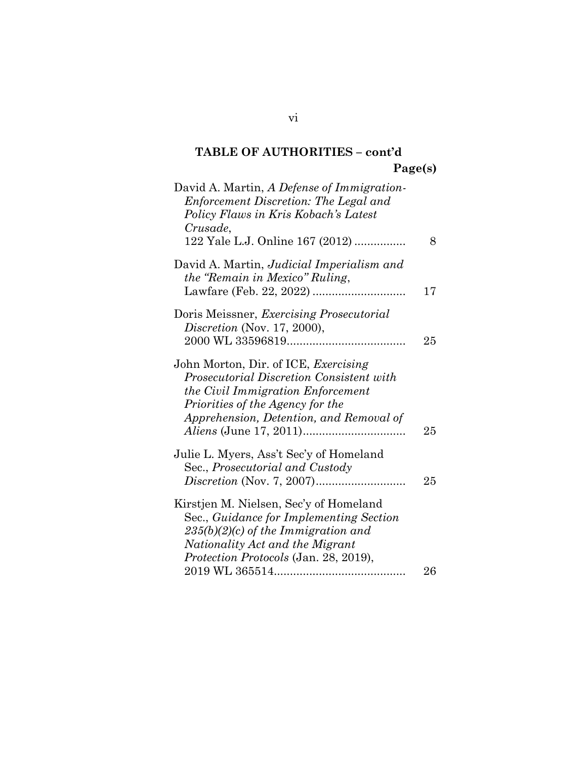| David A. Martin, A Defense of Immigration-<br>Enforcement Discretion: The Legal and<br>Policy Flaws in Kris Kobach's Latest<br>Crusade,<br>122 Yale L.J. Online 167 (2012)                             | 8  |
|--------------------------------------------------------------------------------------------------------------------------------------------------------------------------------------------------------|----|
| David A. Martin, Judicial Imperialism and<br>the "Remain in Mexico" Ruling,                                                                                                                            | 17 |
| Doris Meissner, Exercising Prosecutorial<br>Discretion (Nov. 17, 2000),                                                                                                                                | 25 |
| John Morton, Dir. of ICE, Exercising<br>Prosecutorial Discretion Consistent with<br>the Civil Immigration Enforcement<br>Priorities of the Agency for the<br>Apprehension, Detention, and Removal of   | 25 |
| Julie L. Myers, Ass't Sec'y of Homeland<br>Sec., Prosecutorial and Custody                                                                                                                             | 25 |
| Kirstjen M. Nielsen, Sec'y of Homeland<br>Sec., Guidance for Implementing Section<br>$235(b)(2)(c)$ of the Immigration and<br>Nationality Act and the Migrant<br>Protection Protocols (Jan. 28, 2019), | 26 |
|                                                                                                                                                                                                        |    |

vi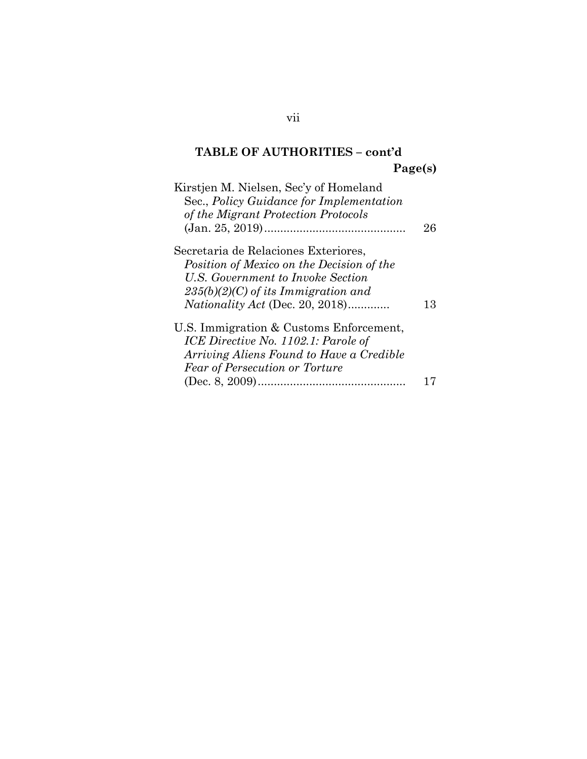| 26 |
|----|
|    |
|    |
|    |
|    |
| 13 |
|    |
|    |
|    |
|    |
|    |
|    |

vii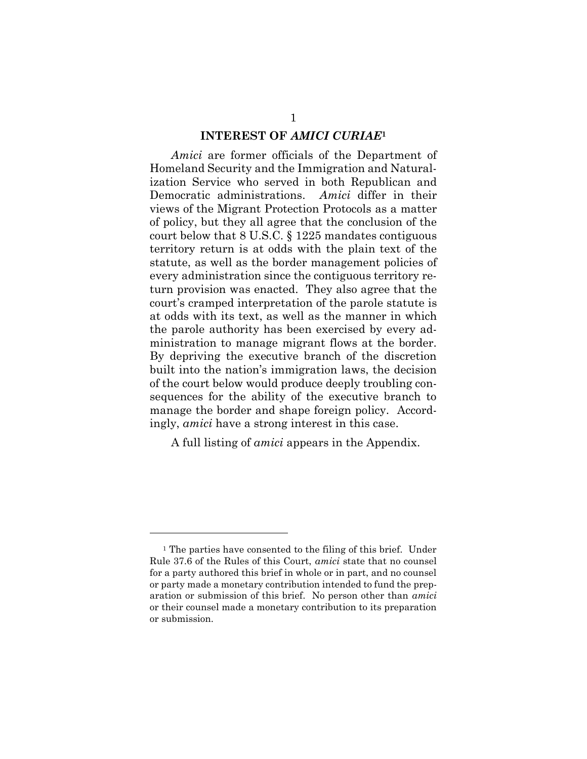#### **INTEREST OF** *AMICI CURIAE***<sup>1</sup>**

*Amici* are former officials of the Department of Homeland Security and the Immigration and Naturalization Service who served in both Republican and Democratic administrations. *Amici* differ in their views of the Migrant Protection Protocols as a matter of policy, but they all agree that the conclusion of the court below that 8 U.S.C. § 1225 mandates contiguous territory return is at odds with the plain text of the statute, as well as the border management policies of every administration since the contiguous territory return provision was enacted. They also agree that the court's cramped interpretation of the parole statute is at odds with its text, as well as the manner in which the parole authority has been exercised by every administration to manage migrant flows at the border. By depriving the executive branch of the discretion built into the nation's immigration laws, the decision of the court below would produce deeply troubling consequences for the ability of the executive branch to manage the border and shape foreign policy. Accordingly, *amici* have a strong interest in this case.

A full listing of *amici* appears in the Appendix.

<sup>&</sup>lt;sup>1</sup> The parties have consented to the filing of this brief. Under Rule 37.6 of the Rules of this Court, *amici* state that no counsel for a party authored this brief in whole or in part, and no counsel or party made a monetary contribution intended to fund the preparation or submission of this brief. No person other than *amici* or their counsel made a monetary contribution to its preparation or submission.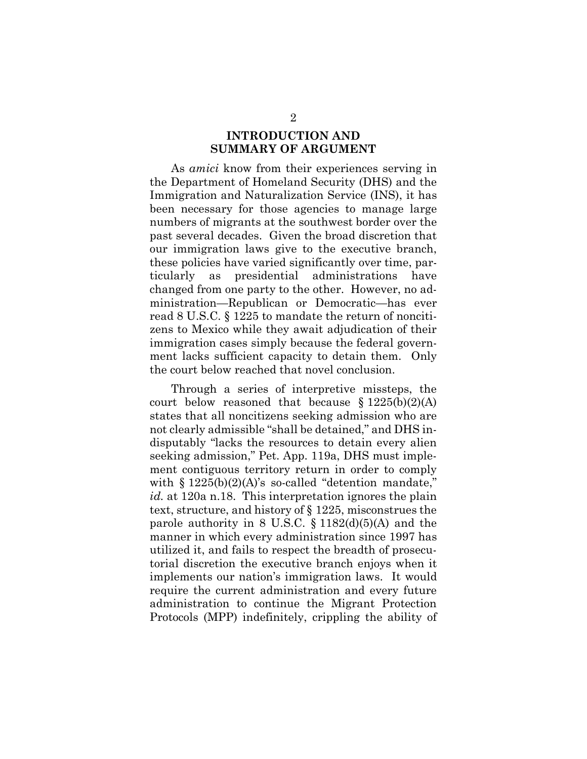### **INTRODUCTION AND SUMMARY OF ARGUMENT**

As *amici* know from their experiences serving in the Department of Homeland Security (DHS) and the Immigration and Naturalization Service (INS), it has been necessary for those agencies to manage large numbers of migrants at the southwest border over the past several decades. Given the broad discretion that our immigration laws give to the executive branch, these policies have varied significantly over time, particularly as presidential administrations have changed from one party to the other. However, no administration—Republican or Democratic—has ever read 8 U.S.C. § 1225 to mandate the return of noncitizens to Mexico while they await adjudication of their immigration cases simply because the federal government lacks sufficient capacity to detain them. Only the court below reached that novel conclusion.

Through a series of interpretive missteps, the court below reasoned that because  $$1225(b)(2)(A)$ states that all noncitizens seeking admission who are not clearly admissible "shall be detained," and DHS indisputably "lacks the resources to detain every alien seeking admission," Pet. App. 119a, DHS must implement contiguous territory return in order to comply with  $§ 1225(b)(2)(A)$ 's so-called "detention mandate," *id.* at 120a n.18. This interpretation ignores the plain text, structure, and history of § 1225, misconstrues the parole authority in 8 U.S.C.  $\S 1182(d)(5)(A)$  and the manner in which every administration since 1997 has utilized it, and fails to respect the breadth of prosecutorial discretion the executive branch enjoys when it implements our nation's immigration laws. It would require the current administration and every future administration to continue the Migrant Protection Protocols (MPP) indefinitely, crippling the ability of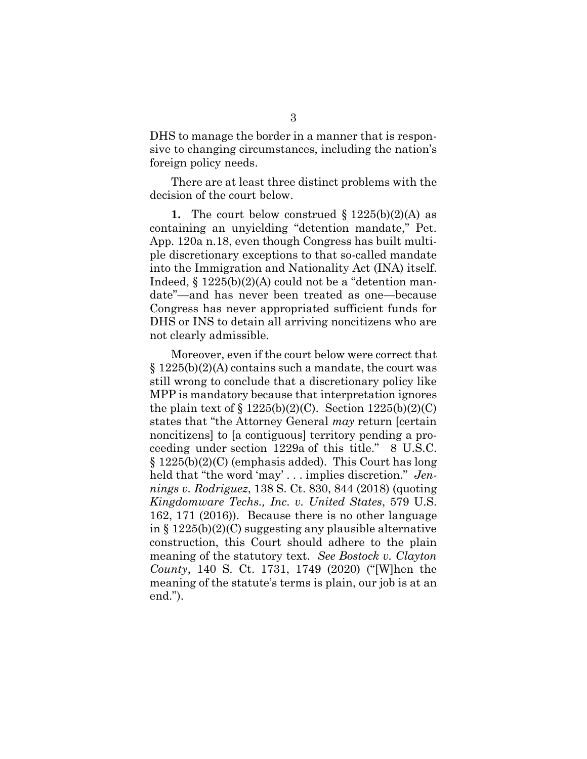DHS to manage the border in a manner that is responsive to changing circumstances, including the nation's foreign policy needs.

There are at least three distinct problems with the decision of the court below.

**1.** The court below construed  $\S 1225(b)(2)(A)$  as containing an unyielding "detention mandate," Pet. App. 120a n.18, even though Congress has built multiple discretionary exceptions to that so-called mandate into the Immigration and Nationality Act (INA) itself. Indeed,  $\S 1225(b)(2)(A)$  could not be a "detention mandate"—and has never been treated as one—because Congress has never appropriated sufficient funds for DHS or INS to detain all arriving noncitizens who are not clearly admissible.

Moreover, even if the court below were correct that  $\S 1225(b)(2)(A)$  contains such a mandate, the court was still wrong to conclude that a discretionary policy like MPP is mandatory because that interpretation ignores the plain text of  $\S 1225(b)(2)(C)$ . Section  $1225(b)(2)(C)$ states that "the Attorney General *may* return [certain noncitizens] to [a contiguous] territory pending a proceeding under section 1229a of this title." 8 U.S.C.  $\S 1225(b)(2)(C)$  (emphasis added). This Court has long held that "the word 'may' . . . implies discretion." *Jennings v. Rodriguez*, 138 S. Ct. 830, 844 (2018) (quoting *Kingdomware Techs., Inc. v. United States*, 579 U.S. 162, 171 (2016)). Because there is no other language in § 1225(b)(2)(C) suggesting any plausible alternative construction, this Court should adhere to the plain meaning of the statutory text. *See Bostock v. Clayton County*, 140 S. Ct. 1731, 1749 (2020) ("[W]hen the meaning of the statute's terms is plain, our job is at an end.").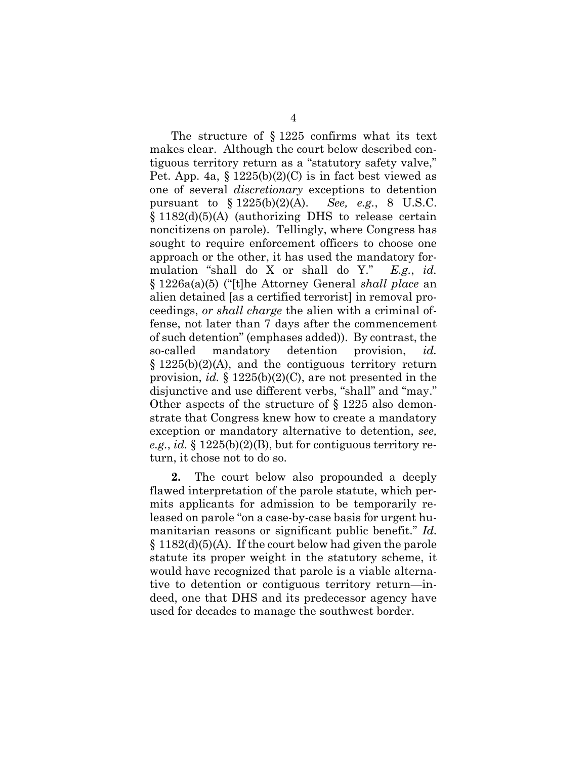The structure of § 1225 confirms what its text makes clear. Although the court below described contiguous territory return as a "statutory safety valve," Pet. App. 4a,  $\S 1225(b)(2)(C)$  is in fact best viewed as one of several *discretionary* exceptions to detention pursuant to § 1225(b)(2)(A). *See, e.g.*, 8 U.S.C. § 1182(d)(5)(A) (authorizing DHS to release certain noncitizens on parole). Tellingly, where Congress has sought to require enforcement officers to choose one approach or the other, it has used the mandatory formulation "shall do X or shall do Y." *E.g.*, *id.*  § 1226a(a)(5) ("[t]he Attorney General *shall place* an alien detained [as a certified terrorist] in removal proceedings, *or shall charge* the alien with a criminal offense, not later than 7 days after the commencement of such detention" (emphases added)). By contrast, the so-called mandatory detention provision, *id.*   $\S 1225(b)(2)(A)$ , and the contiguous territory return provision, *id.* § 1225(b)(2)(C), are not presented in the disjunctive and use different verbs, "shall" and "may." Other aspects of the structure of § 1225 also demonstrate that Congress knew how to create a mandatory exception or mandatory alternative to detention, *see, e.g.*, *id.* § 1225(b)(2)(B), but for contiguous territory return, it chose not to do so.

**2.** The court below also propounded a deeply flawed interpretation of the parole statute, which permits applicants for admission to be temporarily released on parole "on a case-by-case basis for urgent humanitarian reasons or significant public benefit." *Id.*   $\S 1182(d)(5)(A)$ . If the court below had given the parole statute its proper weight in the statutory scheme, it would have recognized that parole is a viable alternative to detention or contiguous territory return—indeed, one that DHS and its predecessor agency have used for decades to manage the southwest border.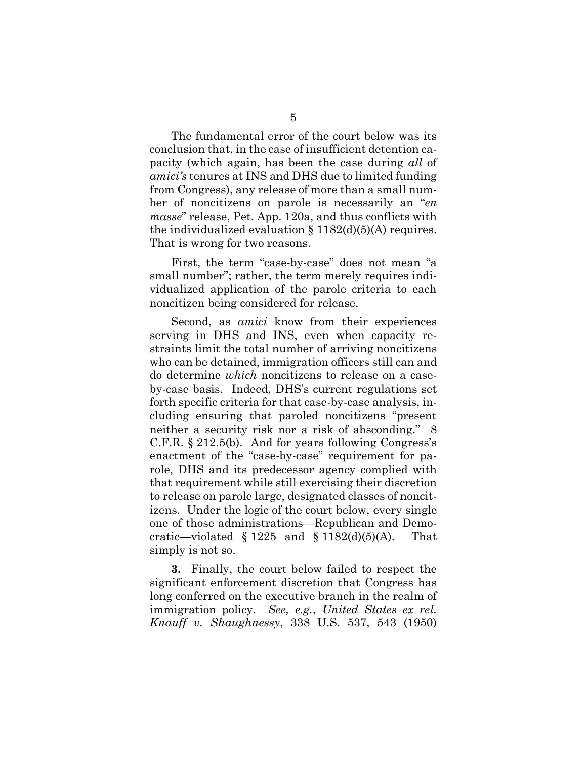The fundamental error of the court below was its conclusion that, in the case of insufficient detention capacity (which again, has been the case during *all* of *amici's* tenures at INS and DHS due to limited funding from Congress), any release of more than a small number of noncitizens on parole is necessarily an "*en masse*" release, Pet. App. 120a, and thus conflicts with the individualized evaluation  $\S 1182(d)(5)(A)$  requires. That is wrong for two reasons.

First, the term "case-by-case" does not mean "a small number"; rather, the term merely requires individualized application of the parole criteria to each noncitizen being considered for release.

Second, as *amici* know from their experiences serving in DHS and INS, even when capacity restraints limit the total number of arriving noncitizens who can be detained, immigration officers still can and do determine *which* noncitizens to release on a caseby-case basis. Indeed, DHS's current regulations set forth specific criteria for that case-by-case analysis, including ensuring that paroled noncitizens "present neither a security risk nor a risk of absconding." 8 C.F.R. § 212.5(b). And for years following Congress's enactment of the "case-by-case" requirement for parole, DHS and its predecessor agency complied with that requirement while still exercising their discretion to release on parole large, designated classes of noncitizens. Under the logic of the court below, every single one of those administrations—Republican and Democratic—violated § 1225 and § 1182(d)(5)(A). That simply is not so.

**3.** Finally, the court below failed to respect the significant enforcement discretion that Congress has long conferred on the executive branch in the realm of immigration policy. *See, e.g.*, *United States ex rel. Knauff v. Shaughnessy*, 338 U.S. 537, 543 (1950)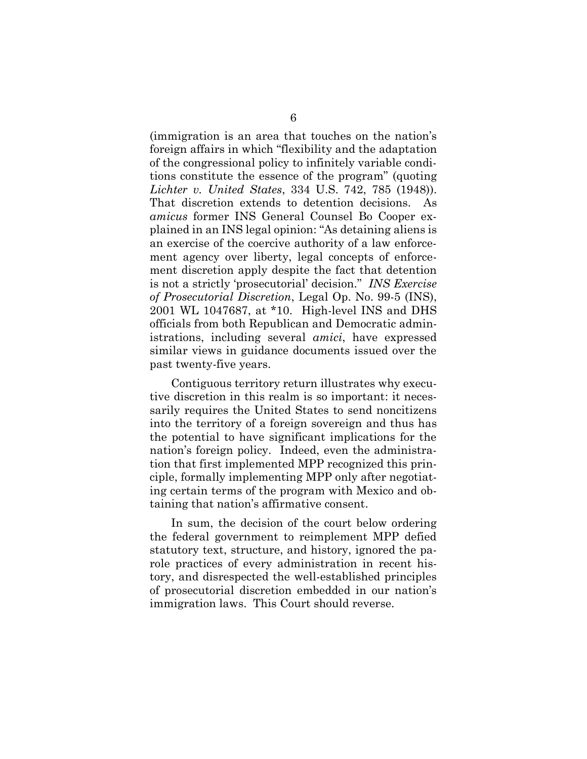(immigration is an area that touches on the nation's foreign affairs in which "flexibility and the adaptation of the congressional policy to infinitely variable conditions constitute the essence of the program" (quoting *Lichter v. United States*, 334 U.S. 742, 785 (1948)). That discretion extends to detention decisions. As *amicus* former INS General Counsel Bo Cooper explained in an INS legal opinion: "As detaining aliens is an exercise of the coercive authority of a law enforcement agency over liberty, legal concepts of enforcement discretion apply despite the fact that detention is not a strictly 'prosecutorial' decision." *INS Exercise of Prosecutorial Discretion*, Legal Op. No. 99-5 (INS), 2001 WL 1047687, at \*10. High-level INS and DHS officials from both Republican and Democratic administrations, including several *amici*, have expressed similar views in guidance documents issued over the past twenty-five years.

Contiguous territory return illustrates why executive discretion in this realm is so important: it necessarily requires the United States to send noncitizens into the territory of a foreign sovereign and thus has the potential to have significant implications for the nation's foreign policy. Indeed, even the administration that first implemented MPP recognized this principle, formally implementing MPP only after negotiating certain terms of the program with Mexico and obtaining that nation's affirmative consent.

In sum, the decision of the court below ordering the federal government to reimplement MPP defied statutory text, structure, and history, ignored the parole practices of every administration in recent history, and disrespected the well-established principles of prosecutorial discretion embedded in our nation's immigration laws. This Court should reverse.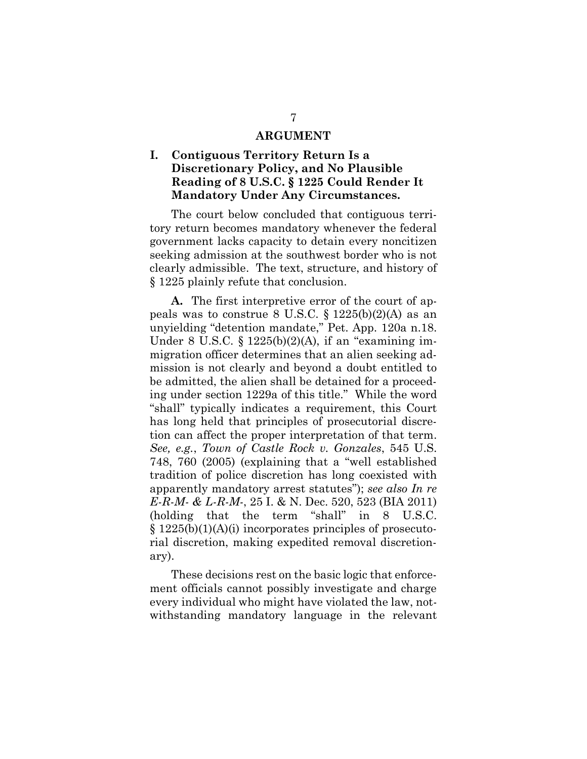#### **ARGUMENT**

## **I. Contiguous Territory Return Is a Discretionary Policy, and No Plausible Reading of 8 U.S.C. § 1225 Could Render It Mandatory Under Any Circumstances.**

The court below concluded that contiguous territory return becomes mandatory whenever the federal government lacks capacity to detain every noncitizen seeking admission at the southwest border who is not clearly admissible. The text, structure, and history of § 1225 plainly refute that conclusion.

**A.** The first interpretive error of the court of appeals was to construe 8 U.S.C.  $\S 1225(b)(2)(A)$  as an unyielding "detention mandate," Pet. App. 120a n.18. Under 8 U.S.C. § 1225(b)(2)(A), if an "examining immigration officer determines that an alien seeking admission is not clearly and beyond a doubt entitled to be admitted, the alien shall be detained for a proceeding under section 1229a of this title." While the word "shall" typically indicates a requirement, this Court has long held that principles of prosecutorial discretion can affect the proper interpretation of that term. *See, e.g.*, *Town of Castle Rock v. Gonzales*, 545 U.S. 748, 760 (2005) (explaining that a "well established tradition of police discretion has long coexisted with apparently mandatory arrest statutes"); *see also In re E-R-M- & L-R-M-*, 25 I. & N. Dec. 520, 523 (BIA 2011) (holding that the term "shall" in 8 U.S.C.  $\S 1225(b)(1)(A)(i)$  incorporates principles of prosecutorial discretion, making expedited removal discretionary).

These decisions rest on the basic logic that enforcement officials cannot possibly investigate and charge every individual who might have violated the law, notwithstanding mandatory language in the relevant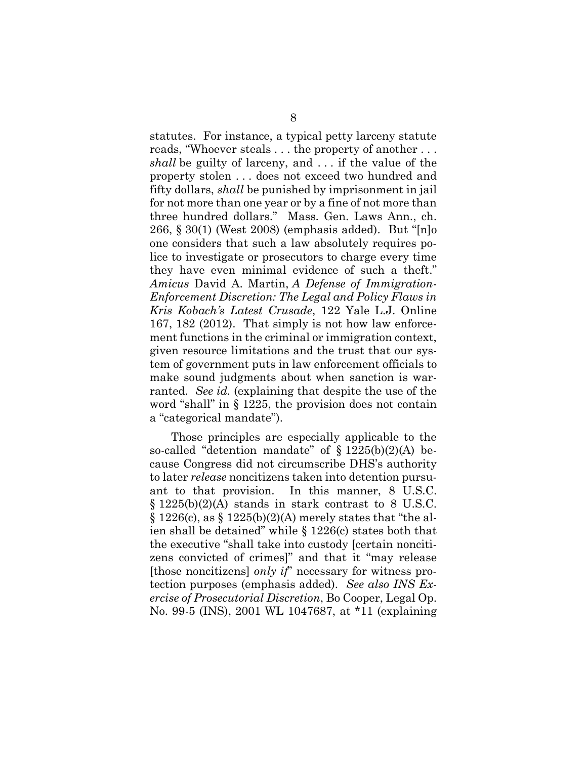statutes. For instance, a typical petty larceny statute reads, "Whoever steals . . . the property of another . . . *shall* be guilty of larceny, and . . . if the value of the property stolen . . . does not exceed two hundred and fifty dollars, *shall* be punished by imprisonment in jail for not more than one year or by a fine of not more than three hundred dollars." Mass. Gen. Laws Ann., ch. 266, § 30(1) (West 2008) (emphasis added). But "[n]o one considers that such a law absolutely requires police to investigate or prosecutors to charge every time they have even minimal evidence of such a theft." *Amicus* David A. Martin, *A Defense of Immigration-Enforcement Discretion: The Legal and Policy Flaws in Kris Kobach's Latest Crusade*, 122 Yale L.J. Online 167, 182 (2012). That simply is not how law enforcement functions in the criminal or immigration context, given resource limitations and the trust that our system of government puts in law enforcement officials to make sound judgments about when sanction is warranted. *See id.* (explaining that despite the use of the word "shall" in § 1225, the provision does not contain a "categorical mandate").

Those principles are especially applicable to the so-called "detention mandate" of  $\S 1225(b)(2)(A)$  because Congress did not circumscribe DHS's authority to later *release* noncitizens taken into detention pursuant to that provision. In this manner, 8 U.S.C. § 1225(b)(2)(A) stands in stark contrast to 8 U.S.C.  $\S 1226(c)$ , as  $\S 1225(b)(2)(A)$  merely states that "the alien shall be detained" while § 1226(c) states both that the executive "shall take into custody [certain noncitizens convicted of crimes]" and that it "may release [those noncitizens] *only if*" necessary for witness protection purposes (emphasis added). *See also INS Exercise of Prosecutorial Discretion*, Bo Cooper, Legal Op. No. 99-5 (INS), 2001 WL 1047687, at \*11 (explaining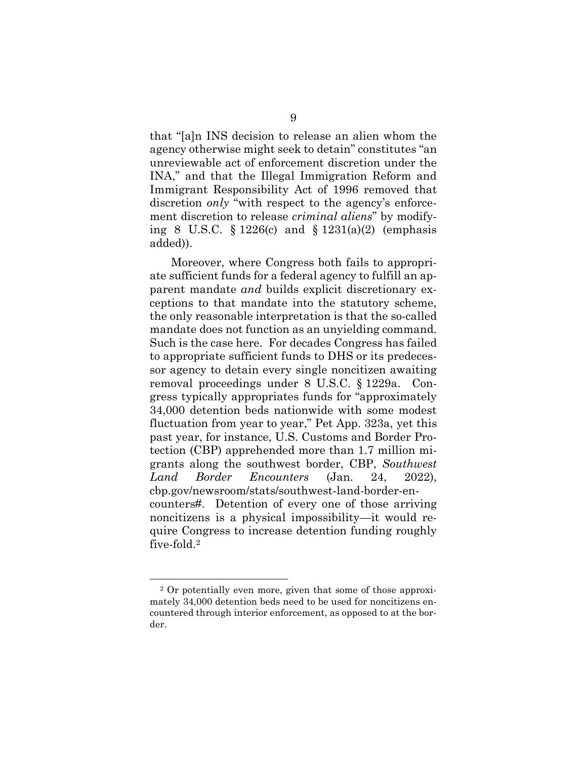that "[a]n INS decision to release an alien whom the agency otherwise might seek to detain" constitutes "an unreviewable act of enforcement discretion under the INA," and that the Illegal Immigration Reform and Immigrant Responsibility Act of 1996 removed that discretion *only* "with respect to the agency's enforcement discretion to release *criminal aliens*" by modifying 8 U.S.C.  $\S 1226(c)$  and  $\S 1231(a)(2)$  (emphasis added)).

Moreover, where Congress both fails to appropriate sufficient funds for a federal agency to fulfill an apparent mandate *and* builds explicit discretionary exceptions to that mandate into the statutory scheme, the only reasonable interpretation is that the so-called mandate does not function as an unyielding command. Such is the case here. For decades Congress has failed to appropriate sufficient funds to DHS or its predecessor agency to detain every single noncitizen awaiting removal proceedings under 8 U.S.C. § 1229a. Congress typically appropriates funds for "approximately 34,000 detention beds nationwide with some modest fluctuation from year to year," Pet App. 323a, yet this past year, for instance, U.S. Customs and Border Protection (CBP) apprehended more than 1.7 million migrants along the southwest border, CBP, *Southwest Land Border Encounters* (Jan. 24, 2022), cbp.gov/newsroom/stats/southwest-land-border-encounters#. Detention of every one of those arriving noncitizens is a physical impossibility—it would require Congress to increase detention funding roughly five-fold. 2

<sup>2</sup> Or potentially even more, given that some of those approximately 34,000 detention beds need to be used for noncitizens encountered through interior enforcement, as opposed to at the border.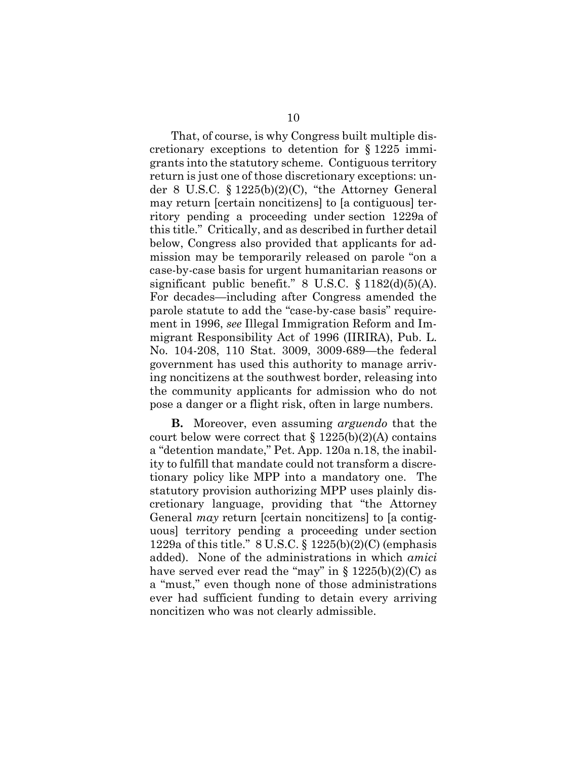That, of course, is why Congress built multiple discretionary exceptions to detention for § 1225 immigrants into the statutory scheme. Contiguous territory return is just one of those discretionary exceptions: under 8 U.S.C. § 1225(b)(2)(C), "the Attorney General may return [certain noncitizens] to [a contiguous] territory pending a proceeding under section 1229a of this title." Critically, and as described in further detail below, Congress also provided that applicants for admission may be temporarily released on parole "on a case-by-case basis for urgent humanitarian reasons or significant public benefit."  $8 \text{ U.S.C. } \S 1182 \text{(d)}(5) \text{(A)}$ . For decades—including after Congress amended the parole statute to add the "case-by-case basis" requirement in 1996, *see* Illegal Immigration Reform and Immigrant Responsibility Act of 1996 (IIRIRA), Pub. L. No. 104-208, 110 Stat. 3009, 3009-689—the federal government has used this authority to manage arriving noncitizens at the southwest border, releasing into the community applicants for admission who do not pose a danger or a flight risk, often in large numbers.

**B.** Moreover, even assuming *arguendo* that the court below were correct that  $\S 1225(b)(2)(A)$  contains a "detention mandate," Pet. App. 120a n.18, the inability to fulfill that mandate could not transform a discretionary policy like MPP into a mandatory one. The statutory provision authorizing MPP uses plainly discretionary language, providing that "the Attorney General *may* return [certain noncitizens] to [a contiguous] territory pending a proceeding under section 1229a of this title."  $8 \text{ U.S.C.} \$ § 1225(b)(2)(C) (emphasis added). None of the administrations in which *amici*  have served ever read the "may" in  $\S 1225(b)(2)(C)$  as a "must," even though none of those administrations ever had sufficient funding to detain every arriving noncitizen who was not clearly admissible.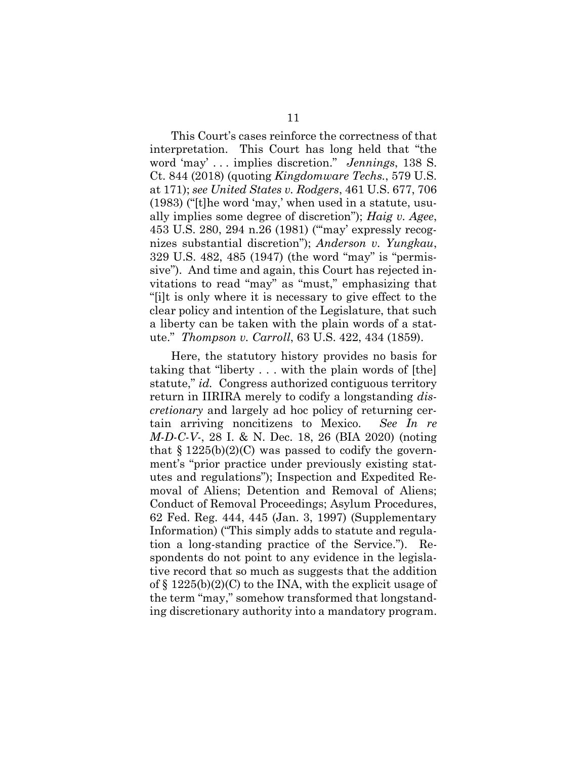This Court's cases reinforce the correctness of that interpretation. This Court has long held that "the word 'may' . . . implies discretion." *Jennings*, 138 S. Ct. 844 (2018) (quoting *Kingdomware Techs.*, 579 U.S. at 171); *see United States v. Rodgers*, 461 U.S. 677, 706 (1983) ("[t]he word 'may,' when used in a statute, usually implies some degree of discretion"); *Haig v. Agee*, 453 U.S. 280, 294 n.26 (1981) ("'may' expressly recognizes substantial discretion"); *Anderson v. Yungkau*, 329 U.S. 482, 485 (1947) (the word "may" is "permissive"). And time and again, this Court has rejected invitations to read "may" as "must," emphasizing that "[i]t is only where it is necessary to give effect to the clear policy and intention of the Legislature, that such a liberty can be taken with the plain words of a statute." *Thompson v. Carroll*, 63 U.S. 422, 434 (1859).

Here, the statutory history provides no basis for taking that "liberty . . . with the plain words of [the] statute," *id.* Congress authorized contiguous territory return in IIRIRA merely to codify a longstanding *discretionary* and largely ad hoc policy of returning certain arriving noncitizens to Mexico. *See In re M-D-C-V-*, 28 I. & N. Dec. 18, 26 (BIA 2020) (noting that  $\S 1225(b)(2)(C)$  was passed to codify the government's "prior practice under previously existing statutes and regulations"); Inspection and Expedited Removal of Aliens; Detention and Removal of Aliens; Conduct of Removal Proceedings; Asylum Procedures, 62 Fed. Reg. 444, 445 (Jan. 3, 1997) (Supplementary Information) ("This simply adds to statute and regulation a long-standing practice of the Service."). Respondents do not point to any evidence in the legislative record that so much as suggests that the addition of  $\S 1225(b)(2)(C)$  to the INA, with the explicit usage of the term "may," somehow transformed that longstanding discretionary authority into a mandatory program.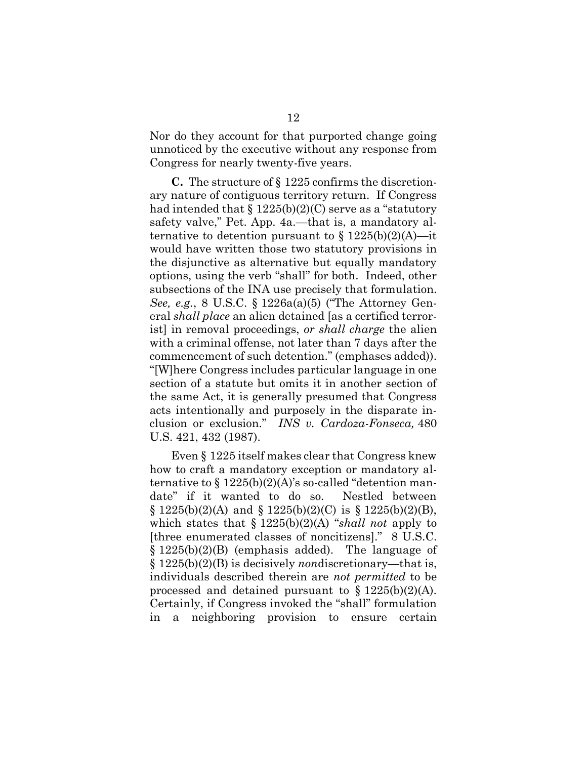Nor do they account for that purported change going unnoticed by the executive without any response from Congress for nearly twenty-five years.

**C.** The structure of § 1225 confirms the discretionary nature of contiguous territory return. If Congress had intended that  $\S 1225(b)(2)(C)$  serve as a "statutory" safety valve," Pet. App. 4a.—that is, a mandatory alternative to detention pursuant to  $\S 1225(b)(2)(A)$ —it would have written those two statutory provisions in the disjunctive as alternative but equally mandatory options, using the verb "shall" for both. Indeed, other subsections of the INA use precisely that formulation. *See, e.g.*, 8 U.S.C. § 1226a(a)(5) ("The Attorney General *shall place* an alien detained [as a certified terrorist] in removal proceedings, *or shall charge* the alien with a criminal offense, not later than 7 days after the commencement of such detention." (emphases added)). "[W]here Congress includes particular language in one section of a statute but omits it in another section of the same Act, it is generally presumed that Congress acts intentionally and purposely in the disparate inclusion or exclusion." *INS v. Cardoza-Fonseca,* 480 U.S. 421, 432 (1987).

Even § 1225 itself makes clear that Congress knew how to craft a mandatory exception or mandatory alternative to  $\S 1225(b)(2)(A)$ 's so-called "detention mandate" if it wanted to do so. Nestled between  $\S 1225(b)(2)(A)$  and  $\S 1225(b)(2)(C)$  is  $\S 1225(b)(2)(B)$ , which states that § 1225(b)(2)(A) "*shall not* apply to [three enumerated classes of noncitizens]." 8 U.S.C.  $\S 1225(b)(2)(B)$  (emphasis added). The language of § 1225(b)(2)(B) is decisively *non*discretionary—that is, individuals described therein are *not permitted* to be processed and detained pursuant to  $\S 1225(b)(2)(A)$ . Certainly, if Congress invoked the "shall" formulation in a neighboring provision to ensure certain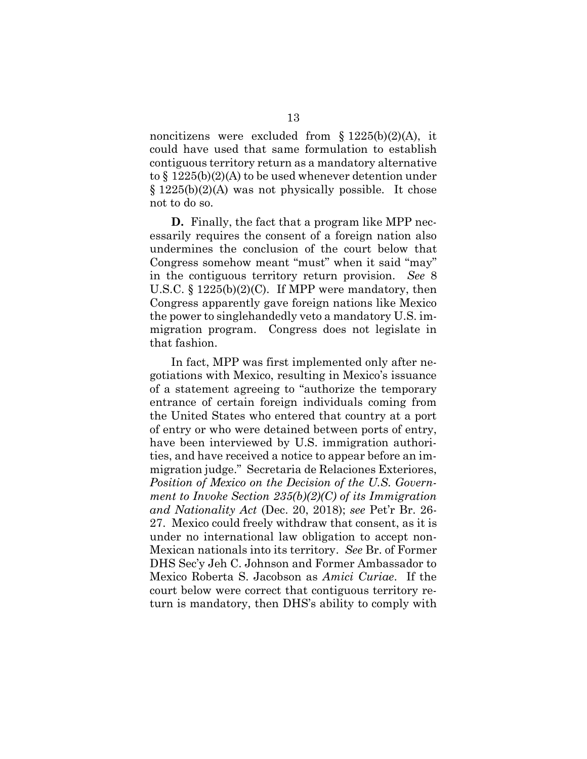noncitizens were excluded from  $\S 1225(b)(2)(A)$ , it could have used that same formulation to establish contiguous territory return as a mandatory alternative to § 1225(b)(2)(A) to be used whenever detention under § 1225(b)(2)(A) was not physically possible. It chose not to do so.

**D.** Finally, the fact that a program like MPP necessarily requires the consent of a foreign nation also undermines the conclusion of the court below that Congress somehow meant "must" when it said "may" in the contiguous territory return provision. *See* 8 U.S.C.  $\S 1225(b)(2)(C)$ . If MPP were mandatory, then Congress apparently gave foreign nations like Mexico the power to singlehandedly veto a mandatory U.S. immigration program. Congress does not legislate in that fashion.

In fact, MPP was first implemented only after negotiations with Mexico, resulting in Mexico's issuance of a statement agreeing to "authorize the temporary entrance of certain foreign individuals coming from the United States who entered that country at a port of entry or who were detained between ports of entry, have been interviewed by U.S. immigration authorities, and have received a notice to appear before an immigration judge." Secretaria de Relaciones Exteriores, *Position of Mexico on the Decision of the U.S. Government to Invoke Section 235(b)(2)(C) of its Immigration and Nationality Act* (Dec. 20, 2018); *see* Pet'r Br. 26- 27. Mexico could freely withdraw that consent, as it is under no international law obligation to accept non-Mexican nationals into its territory. *See* Br. of Former DHS Sec'y Jeh C. Johnson and Former Ambassador to Mexico Roberta S. Jacobson as *Amici Curiae*. If the court below were correct that contiguous territory return is mandatory, then DHS's ability to comply with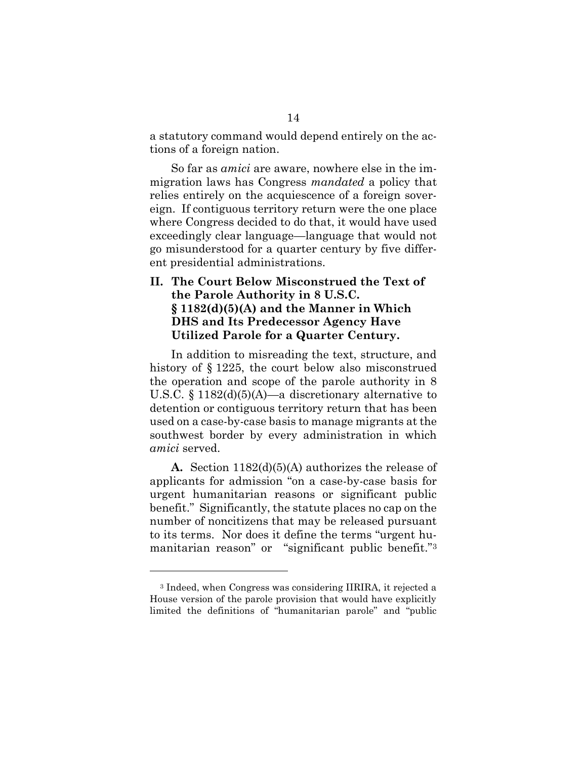a statutory command would depend entirely on the actions of a foreign nation.

So far as *amici* are aware, nowhere else in the immigration laws has Congress *mandated* a policy that relies entirely on the acquiescence of a foreign sovereign. If contiguous territory return were the one place where Congress decided to do that, it would have used exceedingly clear language—language that would not go misunderstood for a quarter century by five different presidential administrations.

## **II. The Court Below Misconstrued the Text of the Parole Authority in 8 U.S.C. § 1182(d)(5)(A) and the Manner in Which DHS and Its Predecessor Agency Have Utilized Parole for a Quarter Century.**

In addition to misreading the text, structure, and history of § 1225, the court below also misconstrued the operation and scope of the parole authority in 8 U.S.C.  $\S 1182(d)(5)(A)$ —a discretionary alternative to detention or contiguous territory return that has been used on a case-by-case basis to manage migrants at the southwest border by every administration in which *amici* served.

**A.** Section 1182(d)(5)(A) authorizes the release of applicants for admission "on a case-by-case basis for urgent humanitarian reasons or significant public benefit." Significantly, the statute places no cap on the number of noncitizens that may be released pursuant to its terms. Nor does it define the terms "urgent humanitarian reason" or "significant public benefit."<sup>3</sup>

<sup>3</sup> Indeed, when Congress was considering IIRIRA, it rejected a House version of the parole provision that would have explicitly limited the definitions of "humanitarian parole" and "public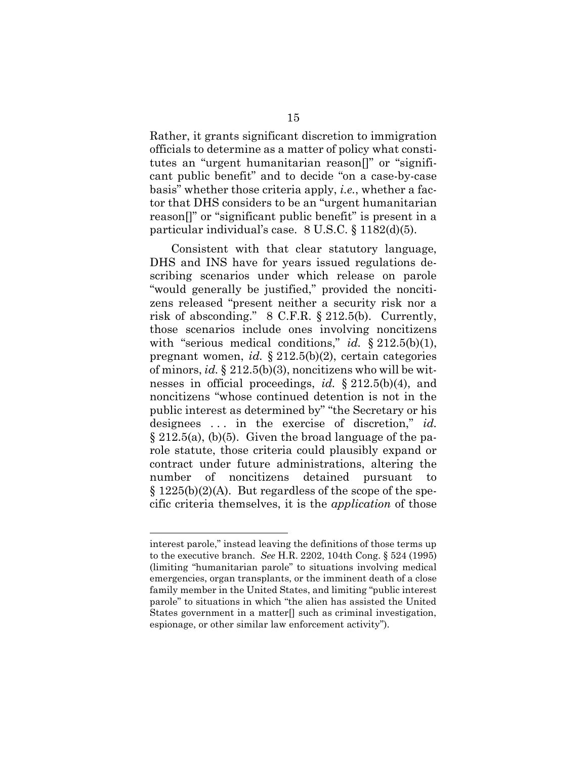Rather, it grants significant discretion to immigration officials to determine as a matter of policy what constitutes an "urgent humanitarian reason[]" or "significant public benefit" and to decide "on a case-by-case basis" whether those criteria apply, *i.e.*, whether a factor that DHS considers to be an "urgent humanitarian reason[]" or "significant public benefit" is present in a particular individual's case. 8 U.S.C. § 1182(d)(5).

Consistent with that clear statutory language, DHS and INS have for years issued regulations describing scenarios under which release on parole "would generally be justified," provided the noncitizens released "present neither a security risk nor a risk of absconding." 8 C.F.R. § 212.5(b). Currently, those scenarios include ones involving noncitizens with "serious medical conditions," *id.* § 212.5(b)(1), pregnant women, *id.* § 212.5(b)(2), certain categories of minors, *id.* § 212.5(b)(3), noncitizens who will be witnesses in official proceedings, *id.* § 212.5(b)(4), and noncitizens "whose continued detention is not in the public interest as determined by" "the Secretary or his designees . . . in the exercise of discretion," *id.*   $\S 212.5(a)$ , (b)(5). Given the broad language of the parole statute, those criteria could plausibly expand or contract under future administrations, altering the number of noncitizens detained pursuant to  $\S 1225(b)(2)(A)$ . But regardless of the scope of the specific criteria themselves, it is the *application* of those

interest parole," instead leaving the definitions of those terms up to the executive branch. *See* H.R. 2202, 104th Cong. § 524 (1995) (limiting "humanitarian parole" to situations involving medical emergencies, organ transplants, or the imminent death of a close family member in the United States, and limiting "public interest parole" to situations in which "the alien has assisted the United States government in a matter<sup>[]</sup> such as criminal investigation, espionage, or other similar law enforcement activity").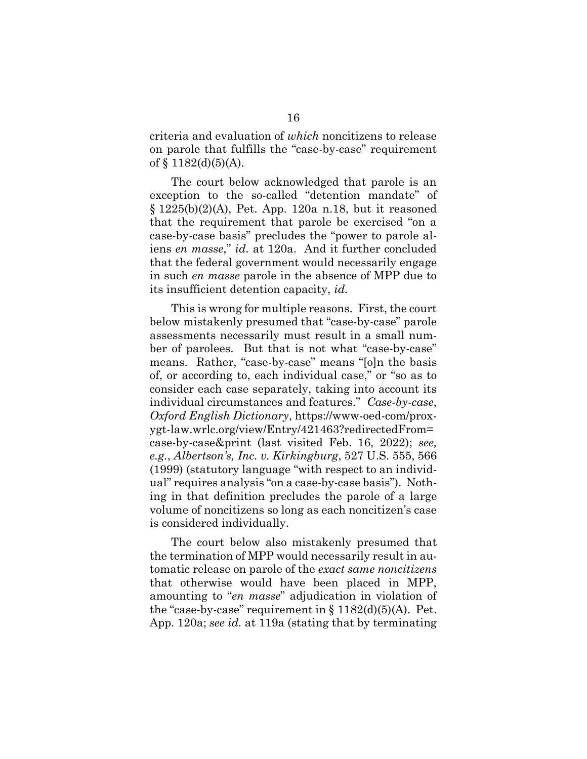criteria and evaluation of *which* noncitizens to release on parole that fulfills the "case-by-case" requirement of  $§$  1182(d)(5)(A).

The court below acknowledged that parole is an exception to the so-called "detention mandate" of  $§ 1225(b)(2)(A)$ , Pet. App. 120a n.18, but it reasoned that the requirement that parole be exercised "on a case-by-case basis" precludes the "power to parole aliens *en masse*," *id.* at 120a. And it further concluded that the federal government would necessarily engage in such *en masse* parole in the absence of MPP due to its insufficient detention capacity, *id.*

This is wrong for multiple reasons. First, the court below mistakenly presumed that "case-by-case" parole assessments necessarily must result in a small number of parolees. But that is not what "case-by-case" means. Rather, "case-by-case" means "[o]n the basis of, or according to, each individual case," or "so as to consider each case separately, taking into account its individual circumstances and features." *Case-by-case*, *Oxford English Dictionary*, https://www-oed-com/proxygt-law.wrlc.org/view/Entry/421463?redirectedFrom= case-by-case&print (last visited Feb. 16, 2022); *see, e.g.*, *Albertson's, Inc. v. Kirkingburg*, 527 U.S. 555, 566 (1999) (statutory language "with respect to an individual" requires analysis "on a case-by-case basis"). Nothing in that definition precludes the parole of a large volume of noncitizens so long as each noncitizen's case is considered individually.

The court below also mistakenly presumed that the termination of MPP would necessarily result in automatic release on parole of the *exact same noncitizens* that otherwise would have been placed in MPP, amounting to "*en masse*" adjudication in violation of the "case-by-case" requirement in  $\S 1182(d)(5)(A)$ . Pet. App. 120a; *see id.* at 119a (stating that by terminating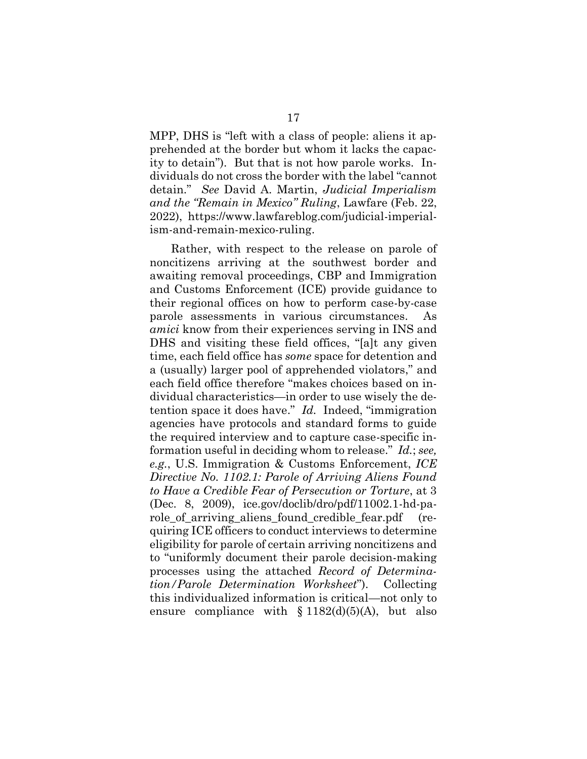MPP, DHS is "left with a class of people: aliens it apprehended at the border but whom it lacks the capacity to detain"). But that is not how parole works. Individuals do not cross the border with the label "cannot detain." *See* David A. Martin, *Judicial Imperialism and the "Remain in Mexico" Ruling*, Lawfare (Feb. 22, 2022), https://www.lawfareblog.com/judicial-imperialism-and-remain-mexico-ruling.

Rather, with respect to the release on parole of noncitizens arriving at the southwest border and awaiting removal proceedings, CBP and Immigration and Customs Enforcement (ICE) provide guidance to their regional offices on how to perform case-by-case parole assessments in various circumstances. *amici* know from their experiences serving in INS and DHS and visiting these field offices, "[a]t any given time, each field office has *some* space for detention and a (usually) larger pool of apprehended violators," and each field office therefore "makes choices based on individual characteristics—in order to use wisely the detention space it does have." *Id.* Indeed, "immigration agencies have protocols and standard forms to guide the required interview and to capture case-specific information useful in deciding whom to release." *Id.*; *see, e.g.*, U.S. Immigration & Customs Enforcement, *ICE Directive No. 1102.1: Parole of Arriving Aliens Found to Have a Credible Fear of Persecution or Torture*, at 3 (Dec. 8, 2009), ice.gov/doclib/dro/pdf/11002.1-hd-parole of arriving aliens found credible fear.pdf (requiring ICE officers to conduct interviews to determine eligibility for parole of certain arriving noncitizens and to "uniformly document their parole decision-making processes using the attached *Record of Determination/Parole Determination Worksheet*").Collecting this individualized information is critical—not only to ensure compliance with  $$1182(d)(5)(A)$ , but also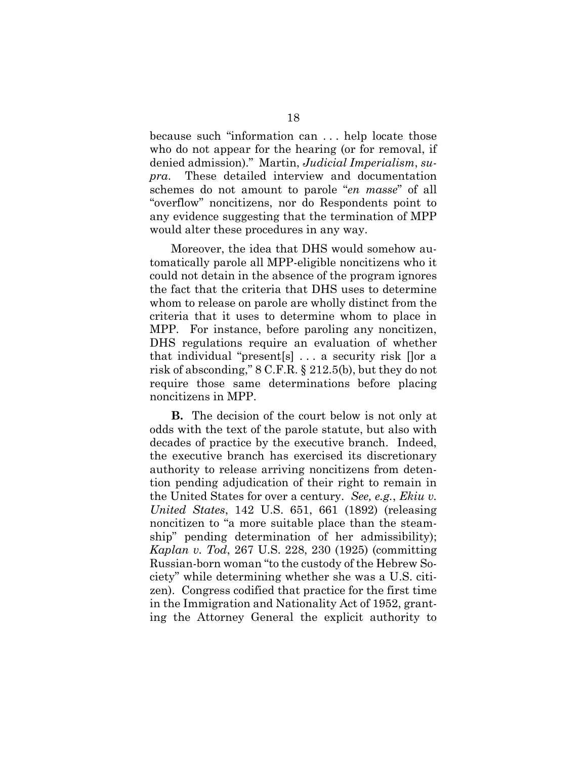because such "information can . . . help locate those who do not appear for the hearing (or for removal, if denied admission)." Martin, *Judicial Imperialism*, *supra*.These detailed interview and documentation schemes do not amount to parole "*en masse*" of all "overflow" noncitizens, nor do Respondents point to any evidence suggesting that the termination of MPP would alter these procedures in any way.

Moreover, the idea that DHS would somehow automatically parole all MPP-eligible noncitizens who it could not detain in the absence of the program ignores the fact that the criteria that DHS uses to determine whom to release on parole are wholly distinct from the criteria that it uses to determine whom to place in MPP. For instance, before paroling any noncitizen, DHS regulations require an evaluation of whether that individual "present[s] . . . a security risk []or a risk of absconding," 8 C.F.R. § 212.5(b), but they do not require those same determinations before placing noncitizens in MPP.

**B.** The decision of the court below is not only at odds with the text of the parole statute, but also with decades of practice by the executive branch. Indeed, the executive branch has exercised its discretionary authority to release arriving noncitizens from detention pending adjudication of their right to remain in the United States for over a century. *See, e.g.*, *Ekiu v. United States*, 142 U.S. 651, 661 (1892) (releasing noncitizen to "a more suitable place than the steamship" pending determination of her admissibility); *Kaplan v. Tod*, 267 U.S. 228, 230 (1925) (committing Russian-born woman "to the custody of the Hebrew Society" while determining whether she was a U.S. citizen). Congress codified that practice for the first time in the Immigration and Nationality Act of 1952, granting the Attorney General the explicit authority to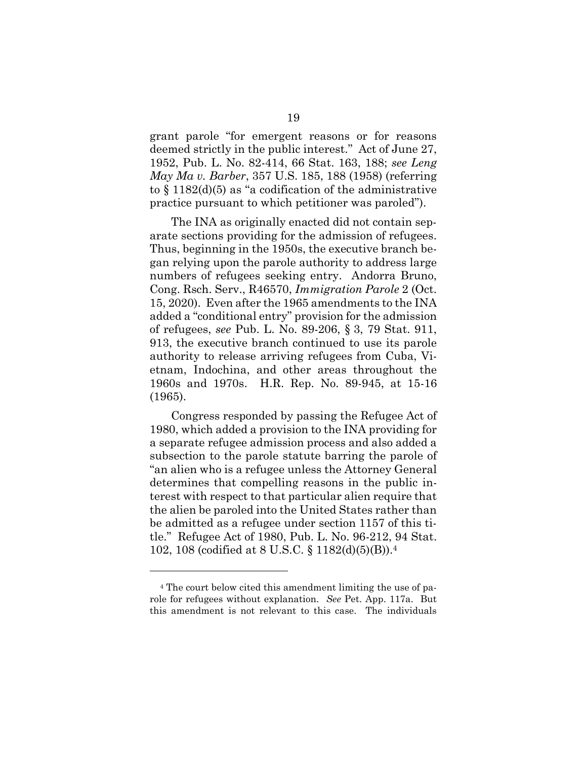grant parole "for emergent reasons or for reasons deemed strictly in the public interest." Act of June 27, 1952, Pub. L. No. 82-414, 66 Stat. 163, 188; *see Leng May Ma v. Barber*, 357 U.S. 185, 188 (1958) (referring to  $\S$  1182(d)(5) as "a codification of the administrative practice pursuant to which petitioner was paroled").

The INA as originally enacted did not contain separate sections providing for the admission of refugees. Thus, beginning in the 1950s, the executive branch began relying upon the parole authority to address large numbers of refugees seeking entry. Andorra Bruno, Cong. Rsch. Serv., R46570, *Immigration Parole* 2 (Oct. 15, 2020). Even after the 1965 amendments to the INA added a "conditional entry" provision for the admission of refugees, *see* Pub. L. No. 89-206, § 3, 79 Stat. 911, 913, the executive branch continued to use its parole authority to release arriving refugees from Cuba, Vietnam, Indochina, and other areas throughout the 1960s and 1970s. H.R. Rep. No. 89-945, at 15-16 (1965).

Congress responded by passing the Refugee Act of 1980, which added a provision to the INA providing for a separate refugee admission process and also added a subsection to the parole statute barring the parole of "an alien who is a refugee unless the Attorney General determines that compelling reasons in the public interest with respect to that particular alien require that the alien be paroled into the United States rather than be admitted as a refugee under section 1157 of this title." Refugee Act of 1980, Pub. L. No. 96-212, 94 Stat. 102, 108 (codified at 8 U.S.C. § 1182(d)(5)(B)).<sup>4</sup>

<sup>4</sup> The court below cited this amendment limiting the use of parole for refugees without explanation. *See* Pet. App. 117a. But this amendment is not relevant to this case. The individuals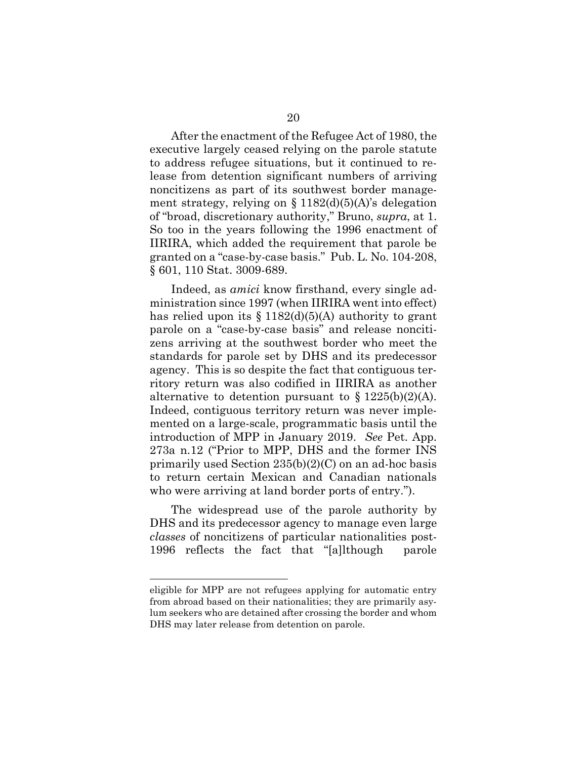After the enactment of the Refugee Act of 1980, the executive largely ceased relying on the parole statute to address refugee situations, but it continued to release from detention significant numbers of arriving noncitizens as part of its southwest border management strategy, relying on  $\S 1182(d)(5)(A)$ 's delegation of "broad, discretionary authority," Bruno, *supra*, at 1. So too in the years following the 1996 enactment of IIRIRA, which added the requirement that parole be granted on a "case-by-case basis." Pub. L. No. 104-208, § 601, 110 Stat. 3009-689.

Indeed, as *amici* know firsthand, every single administration since 1997 (when IIRIRA went into effect) has relied upon its  $\S 1182(d)(5)(A)$  authority to grant parole on a "case-by-case basis" and release noncitizens arriving at the southwest border who meet the standards for parole set by DHS and its predecessor agency. This is so despite the fact that contiguous territory return was also codified in IIRIRA as another alternative to detention pursuant to  $\S 1225(b)(2)(A)$ . Indeed, contiguous territory return was never implemented on a large-scale, programmatic basis until the introduction of MPP in January 2019. *See* Pet. App. 273a n.12 ("Prior to MPP, DHS and the former INS primarily used Section  $235(b)(2)(C)$  on an ad-hoc basis to return certain Mexican and Canadian nationals who were arriving at land border ports of entry.").

The widespread use of the parole authority by DHS and its predecessor agency to manage even large *classes* of noncitizens of particular nationalities post-1996 reflects the fact that "[a]lthough parole

eligible for MPP are not refugees applying for automatic entry from abroad based on their nationalities; they are primarily asylum seekers who are detained after crossing the border and whom DHS may later release from detention on parole.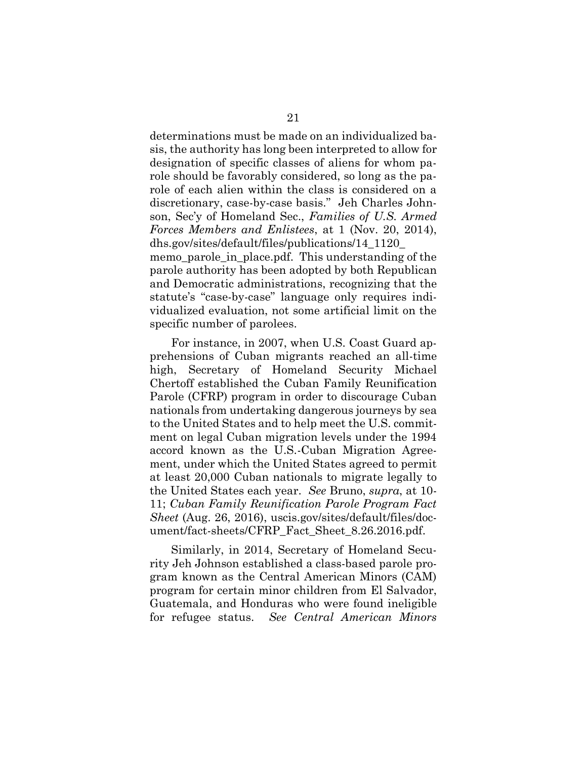determinations must be made on an individualized basis, the authority has long been interpreted to allow for designation of specific classes of aliens for whom parole should be favorably considered, so long as the parole of each alien within the class is considered on a discretionary, case-by-case basis." Jeh Charles Johnson, Sec'y of Homeland Sec., *Families of U.S. Armed Forces Members and Enlistees*, at 1 (Nov. 20, 2014), dhs.gov/sites/default/files/publications/14\_1120\_

memo\_parole\_in\_place.pdf. This understanding of the parole authority has been adopted by both Republican and Democratic administrations, recognizing that the statute's "case-by-case" language only requires individualized evaluation, not some artificial limit on the specific number of parolees.

For instance, in 2007, when U.S. Coast Guard apprehensions of Cuban migrants reached an all-time high, Secretary of Homeland Security Michael Chertoff established the Cuban Family Reunification Parole (CFRP) program in order to discourage Cuban nationals from undertaking dangerous journeys by sea to the United States and to help meet the U.S. commitment on legal Cuban migration levels under the 1994 accord known as the U.S.-Cuban Migration Agreement, under which the United States agreed to permit at least 20,000 Cuban nationals to migrate legally to the United States each year. *See* Bruno, *supra*, at 10- 11; *Cuban Family Reunification Parole Program Fact Sheet* (Aug. 26, 2016), uscis.gov/sites/default/files/document/fact-sheets/CFRP\_Fact\_Sheet\_8.26.2016.pdf.

Similarly, in 2014, Secretary of Homeland Security Jeh Johnson established a class-based parole program known as the Central American Minors (CAM) program for certain minor children from El Salvador, Guatemala, and Honduras who were found ineligible for refugee status. *See Central American Minors*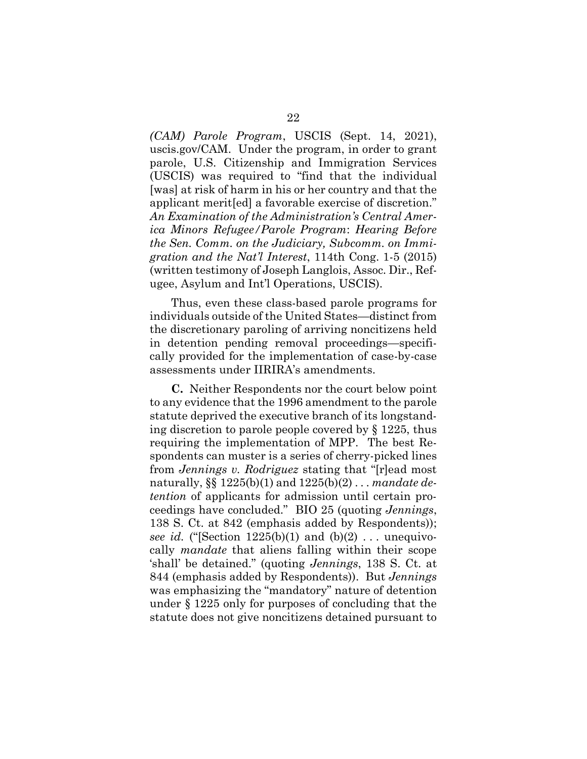*(CAM) Parole Program*, USCIS (Sept. 14, 2021), uscis.gov/CAM. Under the program, in order to grant parole, U.S. Citizenship and Immigration Services (USCIS) was required to "find that the individual [was] at risk of harm in his or her country and that the applicant merit[ed] a favorable exercise of discretion." *An Examination of the Administration's Central America Minors Refugee/Parole Program*: *Hearing Before the Sen. Comm. on the Judiciary, Subcomm. on Immigration and the Nat'l Interest*, 114th Cong. 1-5 (2015) (written testimony of Joseph Langlois, Assoc. Dir., Refugee, Asylum and Int'l Operations, USCIS).

Thus, even these class-based parole programs for individuals outside of the United States—distinct from the discretionary paroling of arriving noncitizens held in detention pending removal proceedings—specifically provided for the implementation of case-by-case assessments under IIRIRA's amendments.

**C.** Neither Respondents nor the court below point to any evidence that the 1996 amendment to the parole statute deprived the executive branch of its longstanding discretion to parole people covered by § 1225, thus requiring the implementation of MPP. The best Respondents can muster is a series of cherry-picked lines from *Jennings v. Rodriguez* stating that "[r]ead most naturally, §§ 1225(b)(1) and 1225(b)(2) . . . *mandate detention* of applicants for admission until certain proceedings have concluded." BIO 25 (quoting *Jennings*, 138 S. Ct. at 842 (emphasis added by Respondents)); *see id.* ("[Section  $1225(b)(1)$  and  $(b)(2)$ ... unequivocally *mandate* that aliens falling within their scope 'shall' be detained." (quoting *Jennings*, 138 S. Ct. at 844 (emphasis added by Respondents)). But *Jennings*  was emphasizing the "mandatory" nature of detention under § 1225 only for purposes of concluding that the statute does not give noncitizens detained pursuant to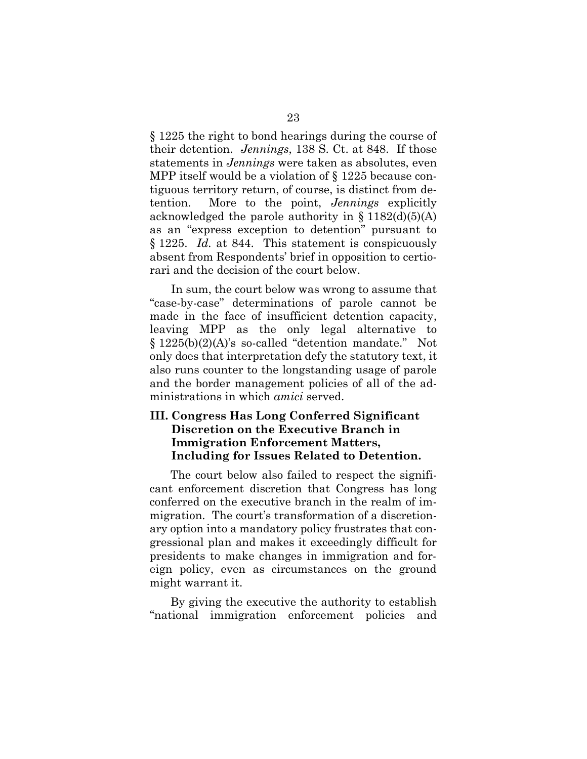§ 1225 the right to bond hearings during the course of their detention. *Jennings*, 138 S. Ct. at 848. If those statements in *Jennings* were taken as absolutes, even MPP itself would be a violation of § 1225 because contiguous territory return, of course, is distinct from detention. More to the point, *Jennings* explicitly acknowledged the parole authority in  $\S 1182(d)(5)(A)$ as an "express exception to detention" pursuant to § 1225. *Id.* at 844. This statement is conspicuously absent from Respondents' brief in opposition to certiorari and the decision of the court below.

In sum, the court below was wrong to assume that "case-by-case" determinations of parole cannot be made in the face of insufficient detention capacity, leaving MPP as the only legal alternative to § 1225(b)(2)(A)'s so-called "detention mandate." Not only does that interpretation defy the statutory text, it also runs counter to the longstanding usage of parole and the border management policies of all of the administrations in which *amici* served.

## **III. Congress Has Long Conferred Significant Discretion on the Executive Branch in Immigration Enforcement Matters, Including for Issues Related to Detention.**

The court below also failed to respect the significant enforcement discretion that Congress has long conferred on the executive branch in the realm of immigration. The court's transformation of a discretionary option into a mandatory policy frustrates that congressional plan and makes it exceedingly difficult for presidents to make changes in immigration and foreign policy, even as circumstances on the ground might warrant it.

By giving the executive the authority to establish "national immigration enforcement policies and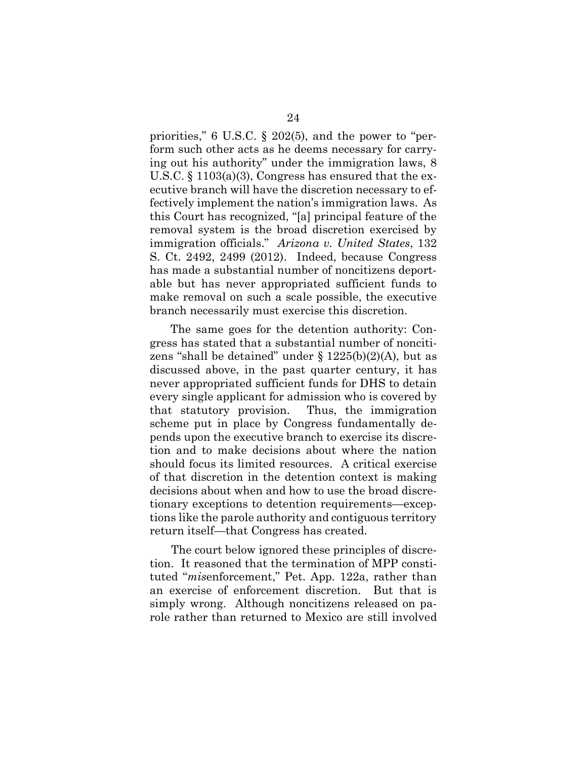priorities," 6 U.S.C. § 202(5), and the power to "perform such other acts as he deems necessary for carrying out his authority" under the immigration laws, 8 U.S.C. § 1103(a)(3), Congress has ensured that the executive branch will have the discretion necessary to effectively implement the nation's immigration laws. As this Court has recognized, "[a] principal feature of the removal system is the broad discretion exercised by immigration officials." *Arizona v. United States*, 132 S. Ct. 2492, 2499 (2012). Indeed, because Congress has made a substantial number of noncitizens deportable but has never appropriated sufficient funds to make removal on such a scale possible, the executive branch necessarily must exercise this discretion.

The same goes for the detention authority: Congress has stated that a substantial number of noncitizens "shall be detained" under § 1225(b)(2)(A), but as discussed above, in the past quarter century, it has never appropriated sufficient funds for DHS to detain every single applicant for admission who is covered by that statutory provision. Thus, the immigration scheme put in place by Congress fundamentally depends upon the executive branch to exercise its discretion and to make decisions about where the nation should focus its limited resources. A critical exercise of that discretion in the detention context is making decisions about when and how to use the broad discretionary exceptions to detention requirements—exceptions like the parole authority and contiguous territory return itself—that Congress has created.

The court below ignored these principles of discretion. It reasoned that the termination of MPP constituted "*mis*enforcement," Pet. App. 122a, rather than an exercise of enforcement discretion. But that is simply wrong. Although noncitizens released on parole rather than returned to Mexico are still involved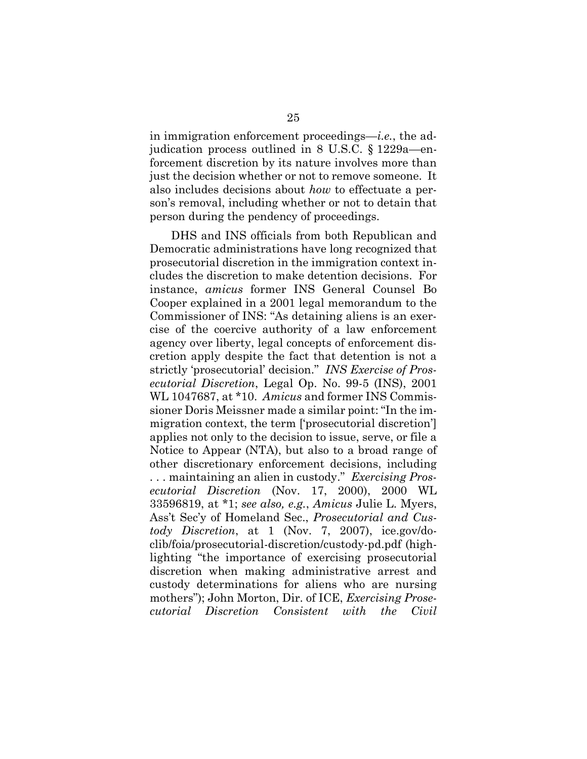in immigration enforcement proceedings—*i.e.*, the adjudication process outlined in 8 U.S.C. § 1229a—enforcement discretion by its nature involves more than just the decision whether or not to remove someone. It also includes decisions about *how* to effectuate a person's removal, including whether or not to detain that person during the pendency of proceedings.

DHS and INS officials from both Republican and Democratic administrations have long recognized that prosecutorial discretion in the immigration context includes the discretion to make detention decisions. For instance, *amicus* former INS General Counsel Bo Cooper explained in a 2001 legal memorandum to the Commissioner of INS: "As detaining aliens is an exercise of the coercive authority of a law enforcement agency over liberty, legal concepts of enforcement discretion apply despite the fact that detention is not a strictly 'prosecutorial' decision." *INS Exercise of Prosecutorial Discretion*, Legal Op. No. 99-5 (INS), 2001 WL 1047687, at \*10. *Amicus* and former INS Commissioner Doris Meissner made a similar point: "In the immigration context, the term ['prosecutorial discretion'] applies not only to the decision to issue, serve, or file a Notice to Appear (NTA), but also to a broad range of other discretionary enforcement decisions, including . . . maintaining an alien in custody." *Exercising Prosecutorial Discretion* (Nov. 17, 2000), 2000 WL 33596819, at \*1; *see also, e.g.*, *Amicus* Julie L. Myers, Ass't Sec'y of Homeland Sec., *Prosecutorial and Custody Discretion*, at 1 (Nov. 7, 2007), ice.gov/doclib/foia/prosecutorial-discretion/custody-pd.pdf (highlighting "the importance of exercising prosecutorial discretion when making administrative arrest and custody determinations for aliens who are nursing mothers"); John Morton, Dir. of ICE, *Exercising Prosecutorial Discretion Consistent with the Civil*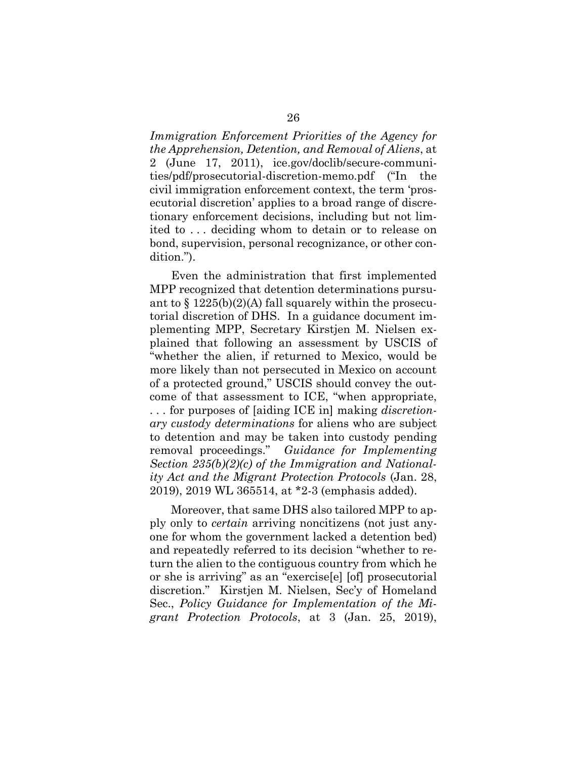*Immigration Enforcement Priorities of the Agency for the Apprehension, Detention, and Removal of Aliens*, at 2 (June 17, 2011), ice.gov/doclib/secure-communities/pdf/prosecutorial-discretion-memo.pdf ("In the civil immigration enforcement context, the term 'prosecutorial discretion' applies to a broad range of discretionary enforcement decisions, including but not limited to . . . deciding whom to detain or to release on bond, supervision, personal recognizance, or other condition.").

Even the administration that first implemented MPP recognized that detention determinations pursuant to  $\S 1225(b)(2)(A)$  fall squarely within the prosecutorial discretion of DHS. In a guidance document implementing MPP, Secretary Kirstjen M. Nielsen explained that following an assessment by USCIS of "whether the alien, if returned to Mexico, would be more likely than not persecuted in Mexico on account of a protected ground," USCIS should convey the outcome of that assessment to ICE, "when appropriate, . . . for purposes of [aiding ICE in] making *discretionary custody determinations* for aliens who are subject to detention and may be taken into custody pending removal proceedings." *Guidance for Implementing Section 235(b)(2)(c) of the Immigration and Nationality Act and the Migrant Protection Protocols* (Jan. 28, 2019), 2019 WL 365514, at \*2-3 (emphasis added).

Moreover, that same DHS also tailored MPP to apply only to *certain* arriving noncitizens (not just anyone for whom the government lacked a detention bed) and repeatedly referred to its decision "whether to return the alien to the contiguous country from which he or she is arriving" as an "exercise[e] [of] prosecutorial discretion." Kirstjen M. Nielsen, Sec'y of Homeland Sec., *Policy Guidance for Implementation of the Migrant Protection Protocols*, at 3 (Jan. 25, 2019),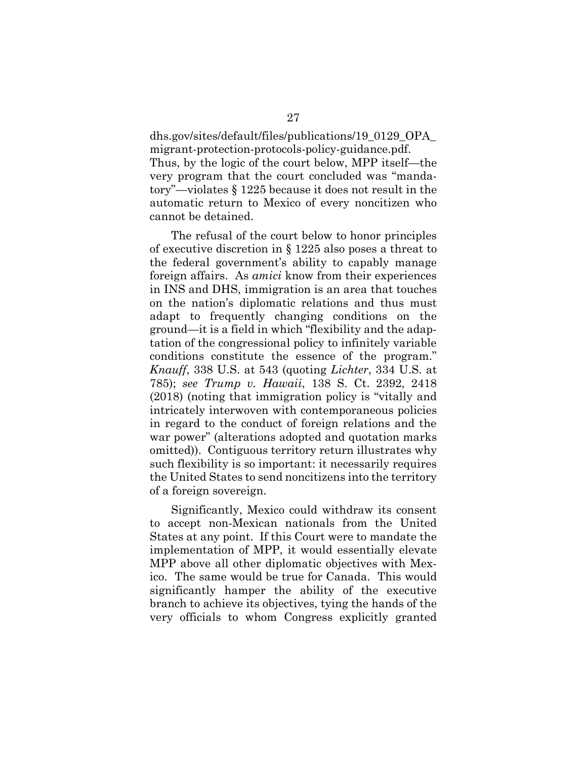dhs.gov/sites/default/files/publications/19\_0129\_OPA\_ migrant-protection-protocols-policy-guidance.pdf.

Thus, by the logic of the court below, MPP itself—the very program that the court concluded was "mandatory"—violates § 1225 because it does not result in the automatic return to Mexico of every noncitizen who cannot be detained.

The refusal of the court below to honor principles of executive discretion in § 1225 also poses a threat to the federal government's ability to capably manage foreign affairs. As *amici* know from their experiences in INS and DHS, immigration is an area that touches on the nation's diplomatic relations and thus must adapt to frequently changing conditions on the ground—it is a field in which "flexibility and the adaptation of the congressional policy to infinitely variable conditions constitute the essence of the program." *Knauff*, 338 U.S. at 543 (quoting *Lichter*, 334 U.S. at 785); *see Trump v. Hawaii*, 138 S. Ct. 2392, 2418 (2018) (noting that immigration policy is "vitally and intricately interwoven with contemporaneous policies in regard to the conduct of foreign relations and the war power" (alterations adopted and quotation marks omitted)). Contiguous territory return illustrates why such flexibility is so important: it necessarily requires the United States to send noncitizens into the territory of a foreign sovereign.

Significantly, Mexico could withdraw its consent to accept non-Mexican nationals from the United States at any point. If this Court were to mandate the implementation of MPP, it would essentially elevate MPP above all other diplomatic objectives with Mexico. The same would be true for Canada. This would significantly hamper the ability of the executive branch to achieve its objectives, tying the hands of the very officials to whom Congress explicitly granted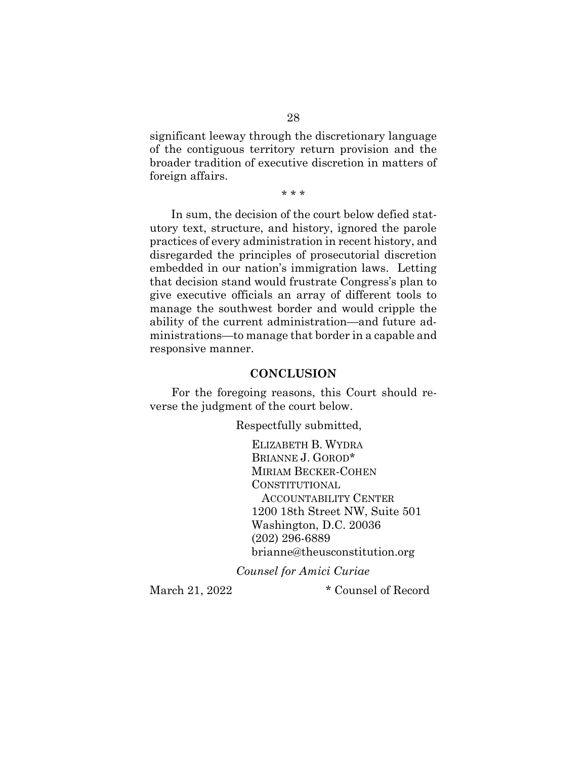significant leeway through the discretionary language of the contiguous territory return provision and the broader tradition of executive discretion in matters of foreign affairs.

\* \* \*

In sum, the decision of the court below defied statutory text, structure, and history, ignored the parole practices of every administration in recent history, and disregarded the principles of prosecutorial discretion embedded in our nation's immigration laws. Letting that decision stand would frustrate Congress's plan to give executive officials an array of different tools to manage the southwest border and would cripple the ability of the current administration—and future administrations—to manage that border in a capable and responsive manner.

#### **CONCLUSION**

For the foregoing reasons, this Court should reverse the judgment of the court below.

Respectfully submitted,

ELIZABETH B. WYDRA BRIANNE J. GOROD\* MIRIAM BECKER-COHEN CONSTITUTIONAL ACCOUNTABILITY CENTER 1200 18th Street NW, Suite 501 Washington, D.C. 20036 (202) 296-6889 brianne@theusconstitution.org

*Counsel for Amici Curiae*

March 21, 2022 \* Counsel of Record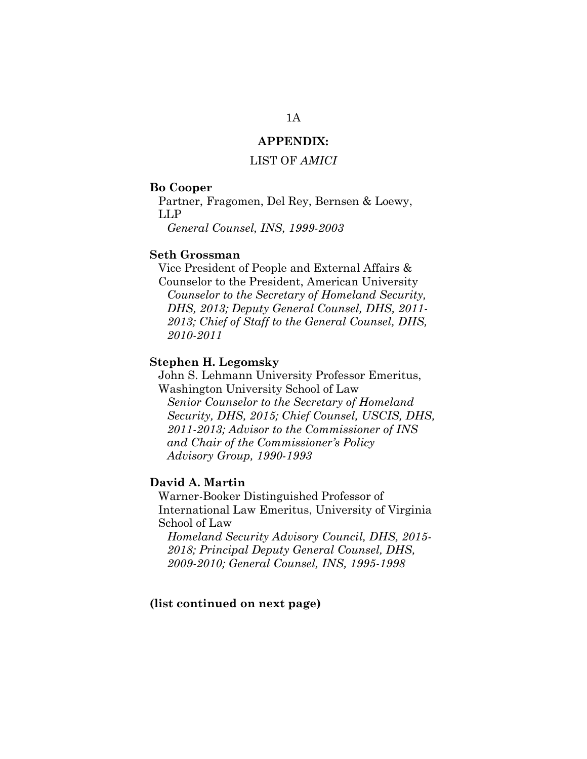## **APPENDIX:**

### LIST OF *AMICI*

#### **Bo Cooper**

Partner, Fragomen, Del Rey, Bernsen & Loewy, LLP

*General Counsel, INS, 1999-2003*

### **Seth Grossman**

Vice President of People and External Affairs & Counselor to the President, American University *Counselor to the Secretary of Homeland Security, DHS, 2013; Deputy General Counsel, DHS, 2011- 2013; Chief of Staff to the General Counsel, DHS, 2010-2011*

#### **Stephen H. Legomsky**

John S. Lehmann University Professor Emeritus, Washington University School of Law *Senior Counselor to the Secretary of Homeland Security, DHS, 2015; Chief Counsel, USCIS, DHS, 2011-2013; Advisor to the Commissioner of INS and Chair of the Commissioner's Policy Advisory Group, 1990-1993*

#### **David A. Martin**

Warner-Booker Distinguished Professor of International Law Emeritus, University of Virginia School of Law

*Homeland Security Advisory Council, DHS, 2015- 2018; Principal Deputy General Counsel, DHS, 2009-2010; General Counsel, INS, 1995-1998*

#### **(list continued on next page)**